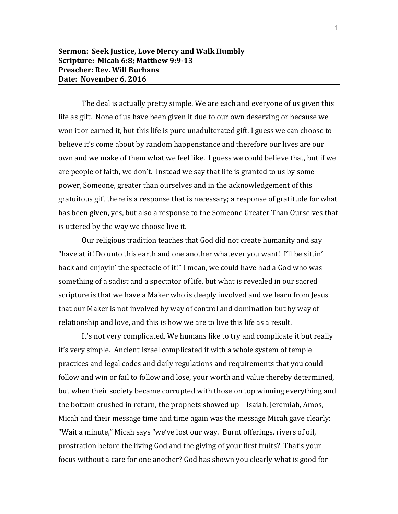## **Sermon: Seek Justice, Love Mercy and Walk Humbly Scripture: Micah 6:8; Matthew 9:9-13 Preacher: Rev. Will Burhans Date: November 6, 2016**

The deal is actually pretty simple. We are each and everyone of us given this life as gift. None of us have been given it due to our own deserving or because we won it or earned it, but this life is pure unadulterated gift. I guess we can choose to believe it's come about by random happenstance and therefore our lives are our own and we make of them what we feel like. I guess we could believe that, but if we are people of faith, we don't. Instead we say that life is granted to us by some power, Someone, greater than ourselves and in the acknowledgement of this gratuitous gift there is a response that is necessary; a response of gratitude for what has been given, yes, but also a response to the Someone Greater Than Ourselves that is uttered by the way we choose live it.

Our religious tradition teaches that God did not create humanity and say "have at it! Do unto this earth and one another whatever you want! I'll be sittin' back and enjoyin' the spectacle of it!" I mean, we could have had a God who was something of a sadist and a spectator of life, but what is revealed in our sacred scripture is that we have a Maker who is deeply involved and we learn from Jesus that our Maker is not involved by way of control and domination but by way of relationship and love, and this is how we are to live this life as a result.

It's not very complicated. We humans like to try and complicate it but really it's very simple. Ancient Israel complicated it with a whole system of temple practices and legal codes and daily regulations and requirements that you could follow and win or fail to follow and lose, your worth and value thereby determined, but when their society became corrupted with those on top winning everything and the bottom crushed in return, the prophets showed up – Isaiah, Jeremiah, Amos, Micah and their message time and time again was the message Micah gave clearly: "Wait a minute," Micah says "we've lost our way. Burnt offerings, rivers of oil, prostration before the living God and the giving of your first fruits? That's your focus without a care for one another? God has shown you clearly what is good for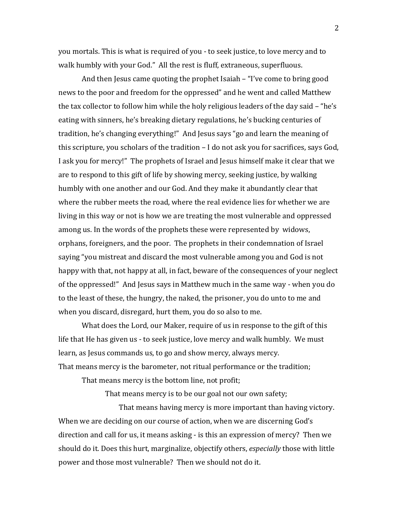you mortals. This is what is required of you - to seek justice, to love mercy and to walk humbly with your God." All the rest is fluff, extraneous, superfluous.

And then Jesus came quoting the prophet Isaiah – "I've come to bring good news to the poor and freedom for the oppressed" and he went and called Matthew the tax collector to follow him while the holy religious leaders of the day said – "he's eating with sinners, he's breaking dietary regulations, he's bucking centuries of tradition, he's changing everything!" And Jesus says "go and learn the meaning of this scripture, you scholars of the tradition – I do not ask you for sacrifices, says God, I ask you for mercy!" The prophets of Israel and Jesus himself make it clear that we are to respond to this gift of life by showing mercy, seeking justice, by walking humbly with one another and our God. And they make it abundantly clear that where the rubber meets the road, where the real evidence lies for whether we are living in this way or not is how we are treating the most vulnerable and oppressed among us. In the words of the prophets these were represented by widows, orphans, foreigners, and the poor. The prophets in their condemnation of Israel saying "you mistreat and discard the most vulnerable among you and God is not happy with that, not happy at all, in fact, beware of the consequences of your neglect of the oppressed!" And Jesus says in Matthew much in the same way - when you do to the least of these, the hungry, the naked, the prisoner, you do unto to me and when you discard, disregard, hurt them, you do so also to me.

What does the Lord, our Maker, require of us in response to the gift of this life that He has given us - to seek justice, love mercy and walk humbly. We must learn, as Jesus commands us, to go and show mercy, always mercy. That means mercy is the barometer, not ritual performance or the tradition;

That means mercy is the bottom line, not profit;

That means mercy is to be our goal not our own safety;

 That means having mercy is more important than having victory. When we are deciding on our course of action, when we are discerning God's direction and call for us, it means asking - is this an expression of mercy? Then we should do it. Does this hurt, marginalize, objectify others, *especially* those with little power and those most vulnerable? Then we should not do it.